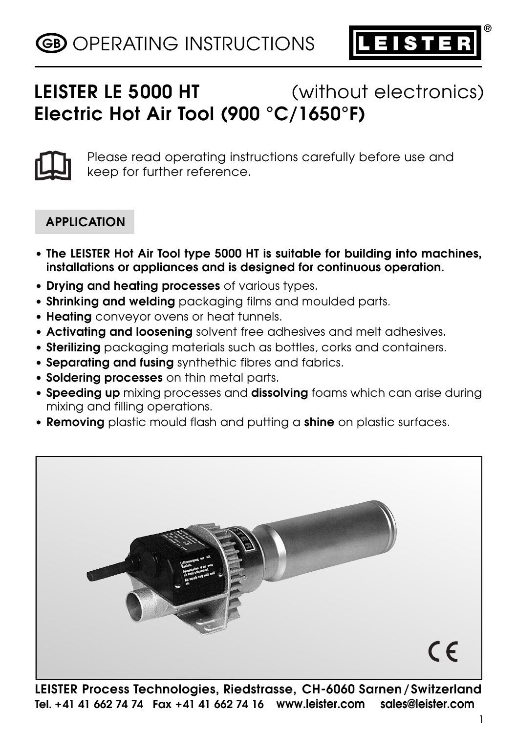

**®**

# **LEISTER LE 5000 HT** (without electronics) **Electric Hot Air Tool (900 °C/1650°F)**



Please read operating instructions carefully before use and keep for further reference.

# **APPLICATION**

- **The LEISTER Hot Air Tool type 5000 HT is suitable for building into machines, installations or appliances and is designed for continuous operation.**
- **Drying and heating processes** of various types.
- **Shrinking and welding** packaging films and moulded parts.
- **Heating** conveyor ovens or heat tunnels.
- **Activating and loosening** solvent free adhesives and melt adhesives.
- **Sterilizing** packaging materials such as bottles, corks and containers.
- **Separating and fusing** synthethic fibres and fabrics.
- **Soldering processes** on thin metal parts.
- **Speeding up** mixing processes and **dissolving** foams which can arise during mixing and filling operations.
- **Removing** plastic mould flash and putting a **shine** on plastic surfaces.



**LEISTER Process Technologies, Riedstrasse, CH-6060 Sarnen/Switzerland Tel. +41 41 662 74 74 Fax +41 41 662 74 16 www.leister.com sales@leister.com**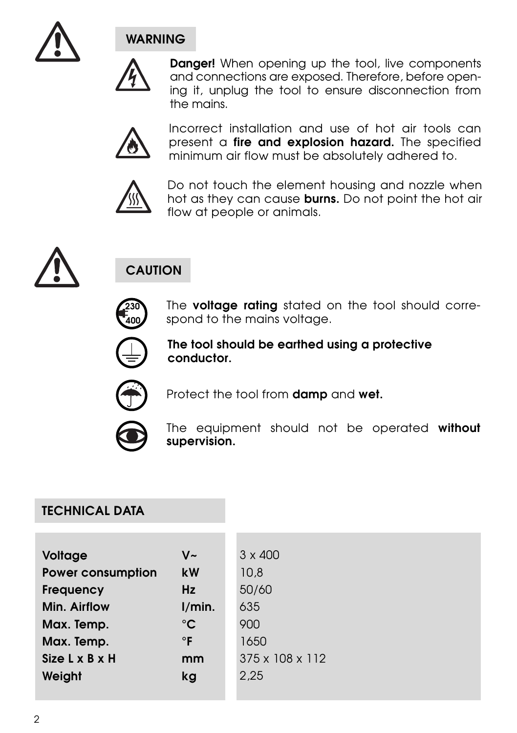

# **WARNING**



**Danger!** When opening up the tool, live components and connections are exposed. Therefore, before opening it, unplug the tool to ensure disconnection from the mains.



Incorrect installation and use of hot air tools can present a **fire and explosion hazard.** The specified minimum air flow must be absolutely adhered to.



Do not touch the element housing and nozzle when hot as they can cause **burns.** Do not point the hot air flow at people or animals.



# **CAUTION**



The **voltage rating** stated on the tool should correspond to the mains voltage.



**The tool should be earthed using a protective conductor.**



Protect the tool from **damp** and **wet.**



The equipment should not be operated **without supervision.**

### **TECHNICAL DATA**

| Voltage                  | V~           | $3 \times 400$  |
|--------------------------|--------------|-----------------|
| <b>Power consumption</b> | kW           | 10.8            |
| Frequency                | Hz           | 50/60           |
| Min. Airflow             | I/min.       | 635             |
| Max. Temp.               | $^{\circ}$ C | 900             |
| Max. Temp.               | $\circ$ F    | 1650            |
| Size L x B x H           | mm           | 375 x 108 x 112 |
| Weight                   | kg           | 2.25            |
|                          |              |                 |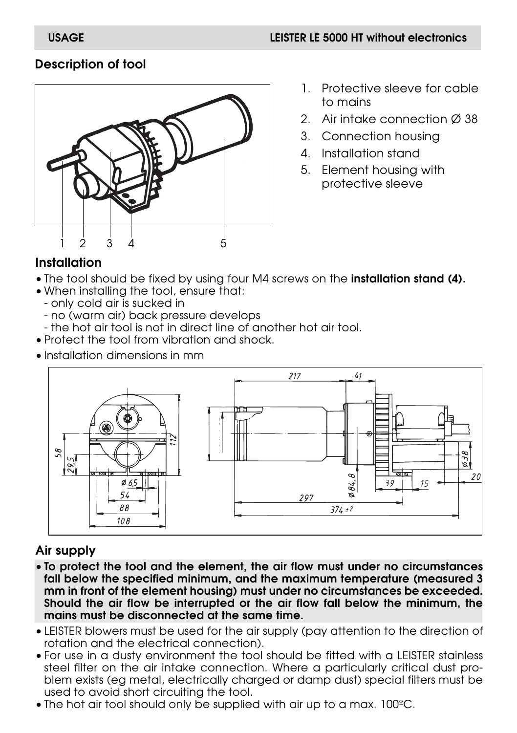# **Description of tool**



- 1. Protective sleeve for cable to mains
- 2. Air intake connection Ø 38
- 3. Connection housing
- 4. Installation stand
- 5. Element housing with protective sleeve

### **Installation**

- The tool should be fixed by using four M4 screws on the **installation stand (4).**
- When installing the tool, ensure that:
	- only cold air is sucked in
	- no (warm air) back pressure develops
	- the hot air tool is not in direct line of another hot air tool.
- Protect the tool from vibration and shock.
- Installation dimensions in mm



# **Air supply**

- **To protect the tool and the element, the air flow must under no circumstances fall below the specified minimum, and the maximum temperature (measured 3 mm in front of the element housing) must under no circumstances be exceeded. Should the air flow be interrupted or the air flow fall below the minimum, the mains must be disconnected at the same time.**
- LEISTER blowers must be used for the air supply (pay attention to the direction of rotation and the electrical connection).
- For use in a dusty environment the tool should be fitted with a LEISTER stainless steel filter on the air intake connection. Where a particularly critical dust problem exists (eg metal, electrically charged or damp dust) special filters must be used to avoid short circuiting the tool.
- The hot air tool should only be supplied with air up to a max. 100ºC.